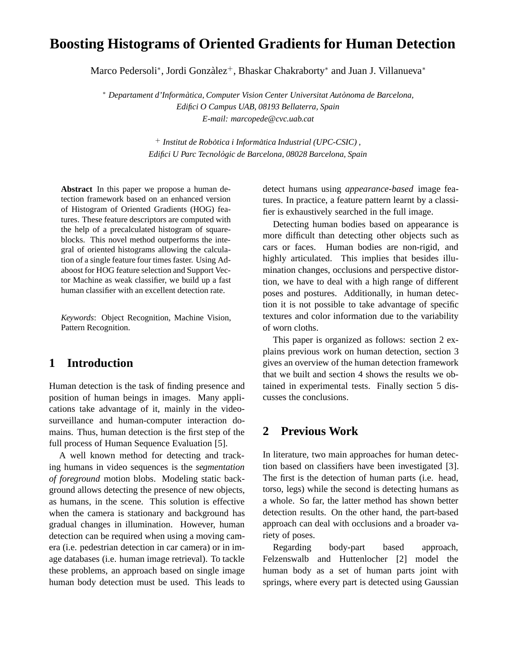# **Boosting Histograms of Oriented Gradients for Human Detection**

Marco Pedersoli\*, Jordi Gonzàlez<sup>+</sup>, Bhaskar Chakraborty<sup>\*</sup> and Juan J. Villanueva<sup>\*</sup>

<sup>∗</sup> *Departament d'Informatica, Computer Vision Center Universitat Aut ` onoma de Barcelona, ` Edifici O Campus UAB, 08193 Bellaterra, Spain E-mail: marcopede@cvc.uab.cat*

> <sup>+</sup> *Institut de Robòtica i Informàtica Industrial (UPC-CSIC)*, *Edifici U Parc Tecnologic de Barcelona, 08028 Barcelona, Spain `*

**Abstract** In this paper we propose a human detection framework based on an enhanced version of Histogram of Oriented Gradients (HOG) features. These feature descriptors are computed with the help of a precalculated histogram of squareblocks. This novel method outperforms the integral of oriented histograms allowing the calculation of a single feature four times faster. Using Adaboost for HOG feature selection and Support Vector Machine as weak classifier, we build up a fast human classifier with an excellent detection rate.

*Keywords*: Object Recognition, Machine Vision, Pattern Recognition.

## **1 Introduction**

Human detection is the task of finding presence and position of human beings in images. Many applications take advantage of it, mainly in the videosurveillance and human-computer interaction domains. Thus, human detection is the first step of the full process of Human Sequence Evaluation [5].

A well known method for detecting and tracking humans in video sequences is the *segmentation of foreground* motion blobs. Modeling static background allows detecting the presence of new objects, as humans, in the scene. This solution is effective when the camera is stationary and background has gradual changes in illumination. However, human detection can be required when using a moving camera (i.e. pedestrian detection in car camera) or in image databases (i.e. human image retrieval). To tackle these problems, an approach based on single image human body detection must be used. This leads to detect humans using *appearance-based* image features. In practice, a feature pattern learnt by a classifier is exhaustively searched in the full image.

Detecting human bodies based on appearance is more difficult than detecting other objects such as cars or faces. Human bodies are non-rigid, and highly articulated. This implies that besides illumination changes, occlusions and perspective distortion, we have to deal with a high range of different poses and postures. Additionally, in human detection it is not possible to take advantage of specific textures and color information due to the variability of worn cloths.

This paper is organized as follows: section 2 explains previous work on human detection, section 3 gives an overview of the human detection framework that we built and section 4 shows the results we obtained in experimental tests. Finally section 5 discusses the conclusions.

# **2 Previous Work**

In literature, two main approaches for human detection based on classifiers have been investigated [3]. The first is the detection of human parts (i.e. head, torso, legs) while the second is detecting humans as a whole. So far, the latter method has shown better detection results. On the other hand, the part-based approach can deal with occlusions and a broader variety of poses.

Regarding body-part based approach, Felzenswalb and Huttenlocher [2] model the human body as a set of human parts joint with springs, where every part is detected using Gaussian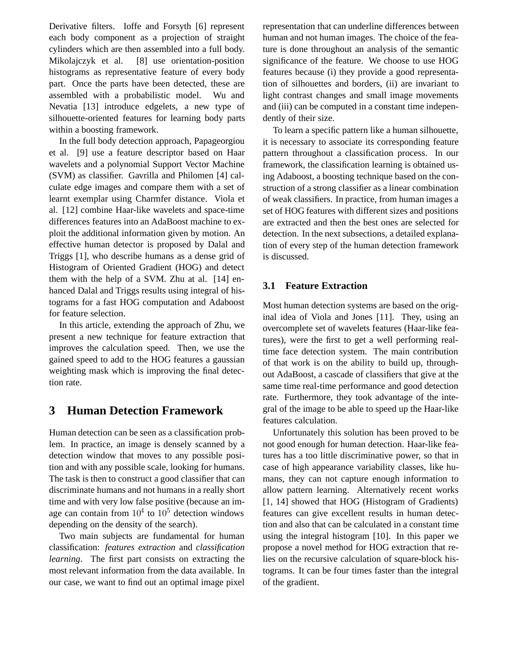Derivative filters. Ioffe and Forsyth [6] represent each body component as a projection of straight cylinders which are then assembled into a full body. Mikolajczyk et al. [8] use orientation-position histograms as representative feature of every body part. Once the parts have been detected, these are assembled with a probabilistic model. Wu and Nevatia [13] introduce edgelets, a new type of silhouette-oriented features for learning body parts within a boosting framework.

In the full body detection approach, Papageorgiou et al. [9] use a feature descriptor based on Haar wavelets and a polynomial Support Vector Machine (SVM) as classifier. Gavrilla and Philomen [4] calculate edge images and compare them with a set of learnt exemplar using Charmfer distance. Viola et al. [12] combine Haar-like wavelets and space-time differences features into an AdaBoost machine to exploit the additional information given by motion. An effective human detector is proposed by Dalal and Triggs [1], who describe humans as a dense grid of Histogram of Oriented Gradient (HOG) and detect them with the help of a SVM. Zhu at al. [14] enhanced Dalal and Triggs results using integral of histograms for a fast HOG computation and Adaboost for feature selection.

In this article, extending the approach of Zhu, we present a new technique for feature extraction that improves the calculation speed. Then, we use the gained speed to add to the HOG features a gaussian weighting mask which is improving the final detection rate.

# **3 Human Detection Framework**

Human detection can be seen as a classification problem. In practice, an image is densely scanned by a detection window that moves to any possible position and with any possible scale, looking for humans. The task is then to construct a good classifier that can discriminate humans and not humans in a really short time and with very low false positive (because an image can contain from  $10^4$  to  $10^5$  detection windows depending on the density of the search).

Two main subjects are fundamental for human classification: *features extraction* and *classification learning*. The first part consists on extracting the most relevant information from the data available. In our case, we want to find out an optimal image pixel representation that can underline differences between human and not human images. The choice of the feature is done throughout an analysis of the semantic significance of the feature. We choose to use HOG features because (i) they provide a good representation of silhouettes and borders, (ii) are invariant to light contrast changes and small image movements and (iii) can be computed in a constant time independently of their size.

To learn a specific pattern like a human silhouette, it is necessary to associate its corresponding feature pattern throughout a classification process. In our framework, the classification learning is obtained using Adaboost, a boosting technique based on the construction of a strong classifier as a linear combination of weak classifiers. In practice, from human images a set of HOG features with different sizes and positions are extracted and then the best ones are selected for detection. In the next subsections, a detailed explanation of every step of the human detection framework is discussed.

### **3.1 Feature Extraction**

Most human detection systems are based on the original idea of Viola and Jones [11]. They, using an overcomplete set of wavelets features (Haar-like features), were the first to get a well performing realtime face detection system. The main contribution of that work is on the ability to build up, throughout AdaBoost, a cascade of classifiers that give at the same time real-time performance and good detection rate. Furthermore, they took advantage of the integral of the image to be able to speed up the Haar-like features calculation.

Unfortunately this solution has been proved to be not good enough for human detection. Haar-like features has a too little discriminative power, so that in case of high appearance variability classes, like humans, they can not capture enough information to allow pattern learning. Alternatively recent works [1, 14] showed that HOG (Histogram of Gradients) features can give excellent results in human detection and also that can be calculated in a constant time using the integral histogram [10]. In this paper we propose a novel method for HOG extraction that relies on the recursive calculation of square-block histograms. It can be four times faster than the integral of the gradient.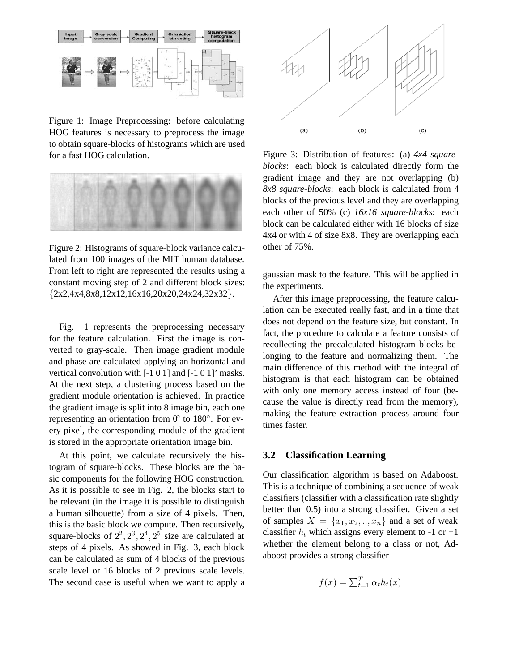

Figure 1: Image Preprocessing: before calculating HOG features is necessary to preprocess the image to obtain square-blocks of histograms which are used for a fast HOG calculation.



Figure 2: Histograms of square-block variance calculated from 100 images of the MIT human database. From left to right are represented the results using a constant moving step of 2 and different block sizes:  ${2x2, 4x4, 8x8, 12x12, 16x16, 20x20, 24x24, 32x32}.$ 

Fig. 1 represents the preprocessing necessary for the feature calculation. First the image is converted to gray-scale. Then image gradient module and phase are calculated applying an horizontal and vertical convolution with [-1 0 1] and [-1 0 1]' masks. At the next step, a clustering process based on the gradient module orientation is achieved. In practice the gradient image is split into 8 image bin, each one representing an orientation from  $0°$  to 180°. For every pixel, the corresponding module of the gradient is stored in the appropriate orientation image bin.

At this point, we calculate recursively the histogram of square-blocks. These blocks are the basic components for the following HOG construction. As it is possible to see in Fig. 2, the blocks start to be relevant (in the image it is possible to distinguish a human silhouette) from a size of 4 pixels. Then, this is the basic block we compute. Then recursively, square-blocks of  $2^2$ ,  $2^3$ ,  $2^4$ ,  $2^5$  size are calculated at steps of 4 pixels. As showed in Fig. 3, each block can be calculated as sum of 4 blocks of the previous scale level or 16 blocks of 2 previous scale levels. The second case is useful when we want to apply a



Figure 3: Distribution of features: (a) *4x4 squareblocks*: each block is calculated directly form the gradient image and they are not overlapping (b) *8x8 square-blocks*: each block is calculated from 4 blocks of the previous level and they are overlapping each other of 50% (c) *16x16 square-blocks*: each block can be calculated either with 16 blocks of size 4x4 or with 4 of size 8x8. They are overlapping each other of 75%.

gaussian mask to the feature. This will be applied in the experiments.

After this image preprocessing, the feature calculation can be executed really fast, and in a time that does not depend on the feature size, but constant. In fact, the procedure to calculate a feature consists of recollecting the precalculated histogram blocks belonging to the feature and normalizing them. The main difference of this method with the integral of histogram is that each histogram can be obtained with only one memory access instead of four (because the value is directly read from the memory), making the feature extraction process around four times faster.

#### **3.2 Classification Learning**

Our classification algorithm is based on Adaboost. This is a technique of combining a sequence of weak classifiers (classifier with a classification rate slightly better than 0.5) into a strong classifier. Given a set of samples  $X = \{x_1, x_2, \ldots, x_n\}$  and a set of weak classifier  $h_t$  which assigns every element to -1 or +1 whether the element belong to a class or not, Adaboost provides a strong classifier

$$
f(x) = \sum_{t=1}^{T} \alpha_t h_t(x)
$$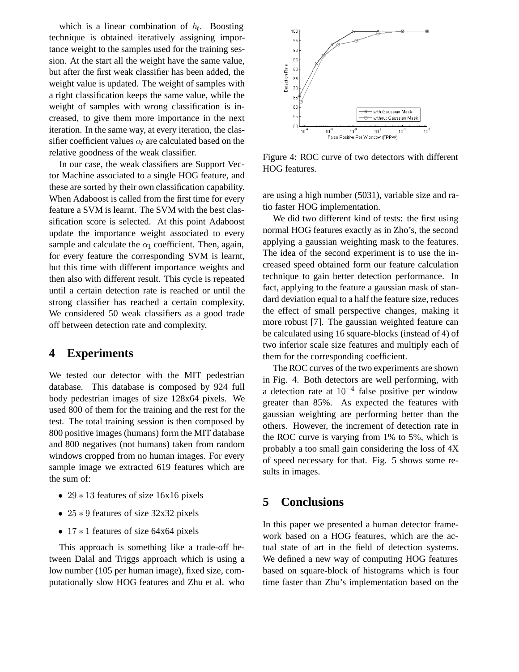which is a linear combination of h*t*. Boosting technique is obtained iteratively assigning importance weight to the samples used for the training session. At the start all the weight have the same value, but after the first weak classifier has been added, the weight value is updated. The weight of samples with a right classification keeps the same value, while the weight of samples with wrong classification is increased, to give them more importance in the next iteration. In the same way, at every iteration, the classifier coefficient values  $\alpha_t$  are calculated based on the relative goodness of the weak classifier.

In our case, the weak classifiers are Support Vector Machine associated to a single HOG feature, and these are sorted by their own classification capability. When Adaboost is called from the first time for every feature a SVM is learnt. The SVM with the best classification score is selected. At this point Adaboost update the importance weight associated to every sample and calculate the  $\alpha_1$  coefficient. Then, again, for every feature the corresponding SVM is learnt, but this time with different importance weights and then also with different result. This cycle is repeated until a certain detection rate is reached or until the strong classifier has reached a certain complexity. We considered 50 weak classifiers as a good trade off between detection rate and complexity.

### **4 Experiments**

We tested our detector with the MIT pedestrian database. This database is composed by 924 full body pedestrian images of size 128x64 pixels. We used 800 of them for the training and the rest for the test. The total training session is then composed by 800 positive images (humans) form the MIT database and 800 negatives (not humans) taken from random windows cropped from no human images. For every sample image we extracted 619 features which are the sum of:

- 29 ∗ 13 features of size 16x16 pixels
- 25 ∗ 9 features of size 32x32 pixels
- 17 ∗ 1 features of size 64x64 pixels

This approach is something like a trade-off between Dalal and Triggs approach which is using a low number (105 per human image), fixed size, computationally slow HOG features and Zhu et al. who



Figure 4: ROC curve of two detectors with different HOG features.

are using a high number (5031), variable size and ratio faster HOG implementation.

We did two different kind of tests: the first using normal HOG features exactly as in Zho's, the second applying a gaussian weighting mask to the features. The idea of the second experiment is to use the increased speed obtained form our feature calculation technique to gain better detection performance. In fact, applying to the feature a gaussian mask of standard deviation equal to a half the feature size, reduces the effect of small perspective changes, making it more robust [7]. The gaussian weighted feature can be calculated using 16 square-blocks (instead of 4) of two inferior scale size features and multiply each of them for the corresponding coefficient.

The ROC curves of the two experiments are shown in Fig. 4. Both detectors are well performing, with a detection rate at  $10^{-4}$  false positive per window greater than 85%. As expected the features with gaussian weighting are performing better than the others. However, the increment of detection rate in the ROC curve is varying from 1% to 5%, which is probably a too small gain considering the loss of 4X of speed necessary for that. Fig. 5 shows some results in images.

### **5 Conclusions**

In this paper we presented a human detector framework based on a HOG features, which are the actual state of art in the field of detection systems. We defined a new way of computing HOG features based on square-block of histograms which is four time faster than Zhu's implementation based on the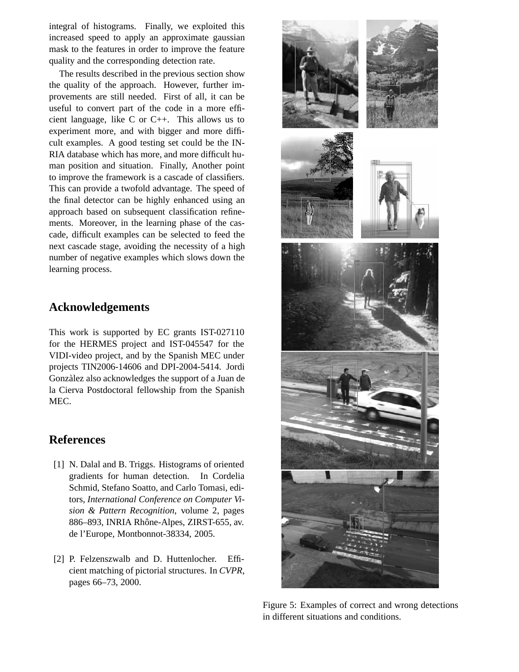integral of histograms. Finally, we exploited this increased speed to apply an approximate gaussian mask to the features in order to improve the feature quality and the corresponding detection rate.

The results described in the previous section show the quality of the approach. However, further improvements are still needed. First of all, it can be useful to convert part of the code in a more efficient language, like C or C++. This allows us to experiment more, and with bigger and more difficult examples. A good testing set could be the IN-RIA database which has more, and more difficult human position and situation. Finally, Another point to improve the framework is a cascade of classifiers. This can provide a twofold advantage. The speed of the final detector can be highly enhanced using an approach based on subsequent classification refinements. Moreover, in the learning phase of the cascade, difficult examples can be selected to feed the next cascade stage, avoiding the necessity of a high number of negative examples which slows down the learning process.

# **Acknowledgements**

This work is supported by EC grants IST-027110 for the HERMES project and IST-045547 for the VIDI-video project, and by the Spanish MEC under projects TIN2006-14606 and DPI-2004-5414. Jordi Gonz`alez also acknowledges the support of a Juan de la Cierva Postdoctoral fellowship from the Spanish MEC.

# **References**

- [1] N. Dalal and B. Triggs. Histograms of oriented gradients for human detection. In Cordelia Schmid, Stefano Soatto, and Carlo Tomasi, editors, *International Conference on Computer Vision & Pattern Recognition*, volume 2, pages 886–893, INRIA Rhône-Alpes, ZIRST-655, av. de l'Europe, Montbonnot-38334, 2005.
- [2] P. Felzenszwalb and D. Huttenlocher. Efficient matching of pictorial structures. In *CVPR*, pages 66–73, 2000.



Figure 5: Examples of correct and wrong detections in different situations and conditions.